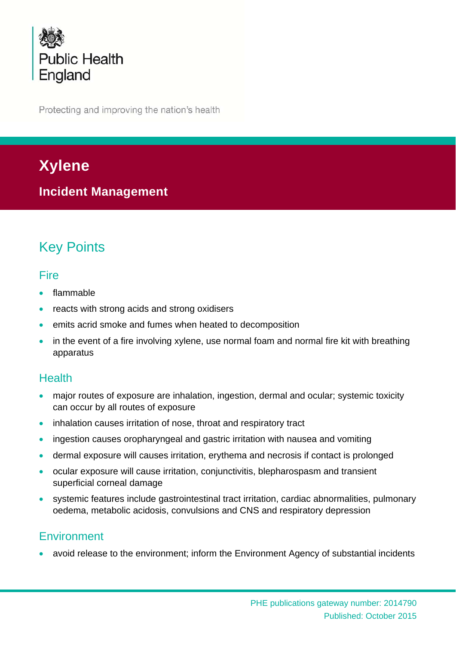

Protecting and improving the nation's health

# **Xylene**

**Incident Management** 

# Key Points

## **Fire**

- flammable
- reacts with strong acids and strong oxidisers
- emits acrid smoke and fumes when heated to decomposition
- in the event of a fire involving xylene, use normal foam and normal fire kit with breathing apparatus

## **Health**

- major routes of exposure are inhalation, ingestion, dermal and ocular; systemic toxicity can occur by all routes of exposure
- inhalation causes irritation of nose, throat and respiratory tract
- ingestion causes oropharyngeal and gastric irritation with nausea and vomiting
- dermal exposure will causes irritation, erythema and necrosis if contact is prolonged
- ocular exposure will cause irritation, conjunctivitis, blepharospasm and transient superficial corneal damage
- systemic features include gastrointestinal tract irritation, cardiac abnormalities, pulmonary oedema, metabolic acidosis, convulsions and CNS and respiratory depression

# **Environment**

avoid release to the environment; inform the Environment Agency of substantial incidents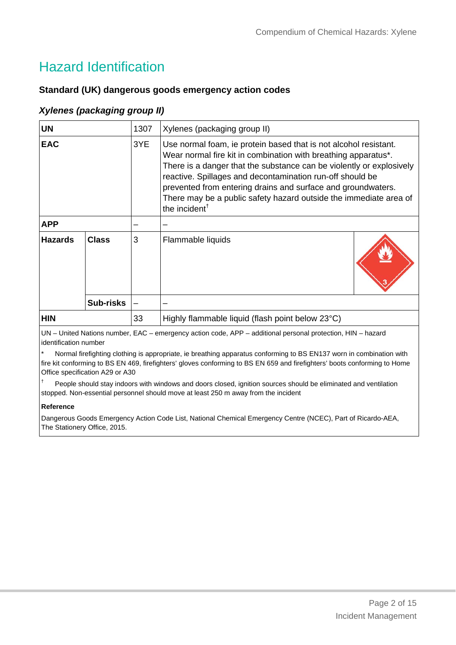# Hazard Identification

### **Standard (UK) dangerous goods emergency action codes**

### *Xylenes (packaging group II)*

| <b>UN</b>      |                  | 1307 | Xylenes (packaging group II)                                                                                                                                                                                                                                                                                                                                                                                                              |  |
|----------------|------------------|------|-------------------------------------------------------------------------------------------------------------------------------------------------------------------------------------------------------------------------------------------------------------------------------------------------------------------------------------------------------------------------------------------------------------------------------------------|--|
| <b>EAC</b>     |                  | 3YE  | Use normal foam, ie protein based that is not alcohol resistant.<br>Wear normal fire kit in combination with breathing apparatus*.<br>There is a danger that the substance can be violently or explosively<br>reactive. Spillages and decontamination run-off should be<br>prevented from entering drains and surface and groundwaters.<br>There may be a public safety hazard outside the immediate area of<br>the incident <sup>†</sup> |  |
| <b>APP</b>     |                  |      |                                                                                                                                                                                                                                                                                                                                                                                                                                           |  |
| <b>Hazards</b> | Class            | 3    | Flammable liquids                                                                                                                                                                                                                                                                                                                                                                                                                         |  |
|                | <b>Sub-risks</b> |      |                                                                                                                                                                                                                                                                                                                                                                                                                                           |  |
| <b>HIN</b>     |                  | 33   | Highly flammable liquid (flash point below 23°C)                                                                                                                                                                                                                                                                                                                                                                                          |  |

UN – United Nations number, EAC – emergency action code, APP – additional personal protection, HIN – hazard identification number

Normal firefighting clothing is appropriate, ie breathing apparatus conforming to BS EN137 worn in combination with fire kit conforming to BS EN 469, firefighters' gloves conforming to BS EN 659 and firefighters' boots conforming to Home Office specification A29 or A30

† People should stay indoors with windows and doors closed, ignition sources should be eliminated and ventilation stopped. Non-essential personnel should move at least 250 m away from the incident

#### **Reference**

Dangerous Goods Emergency Action Code List, National Chemical Emergency Centre (NCEC), Part of Ricardo-AEA, The Stationery Office, 2015.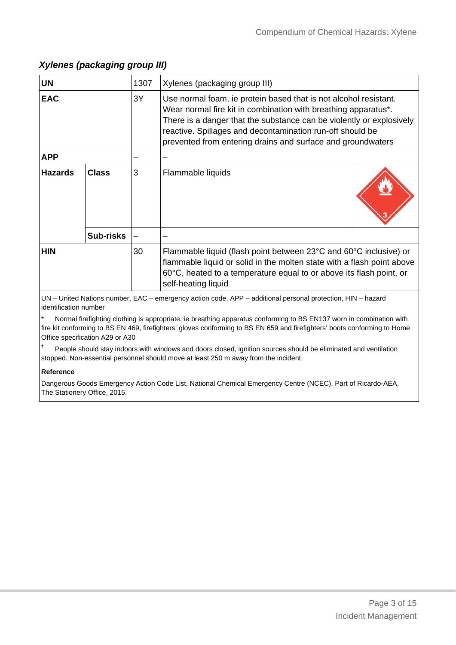| <b>UN</b>      |                  | 1307 | Xylenes (packaging group III)                                                                                                                                                                                                                                                                                                          |  |
|----------------|------------------|------|----------------------------------------------------------------------------------------------------------------------------------------------------------------------------------------------------------------------------------------------------------------------------------------------------------------------------------------|--|
| <b>EAC</b>     |                  | 3Y   | Use normal foam, ie protein based that is not alcohol resistant.<br>Wear normal fire kit in combination with breathing apparatus*.<br>There is a danger that the substance can be violently or explosively<br>reactive. Spillages and decontamination run-off should be<br>prevented from entering drains and surface and groundwaters |  |
| <b>APP</b>     |                  |      |                                                                                                                                                                                                                                                                                                                                        |  |
| <b>Hazards</b> | <b>Class</b>     | 3    | Flammable liquids                                                                                                                                                                                                                                                                                                                      |  |
|                | <b>Sub-risks</b> |      |                                                                                                                                                                                                                                                                                                                                        |  |
| <b>HIN</b>     |                  | 30   | Flammable liquid (flash point between 23°C and 60°C inclusive) or<br>flammable liquid or solid in the molten state with a flash point above<br>60°C, heated to a temperature equal to or above its flash point, or<br>self-heating liquid                                                                                              |  |

### *Xylenes (packaging group III)*

UN – United Nations number, EAC – emergency action code, APP – additional personal protection, HIN – hazard identification number

Normal firefighting clothing is appropriate, ie breathing apparatus conforming to BS EN137 worn in combination with fire kit conforming to BS EN 469, firefighters' gloves conforming to BS EN 659 and firefighters' boots conforming to Home Office specification A29 or A30

† People should stay indoors with windows and doors closed, ignition sources should be eliminated and ventilation stopped. Non-essential personnel should move at least 250 m away from the incident

#### **Reference**

Dangerous Goods Emergency Action Code List, National Chemical Emergency Centre (NCEC), Part of Ricardo-AEA, The Stationery Office, 2015.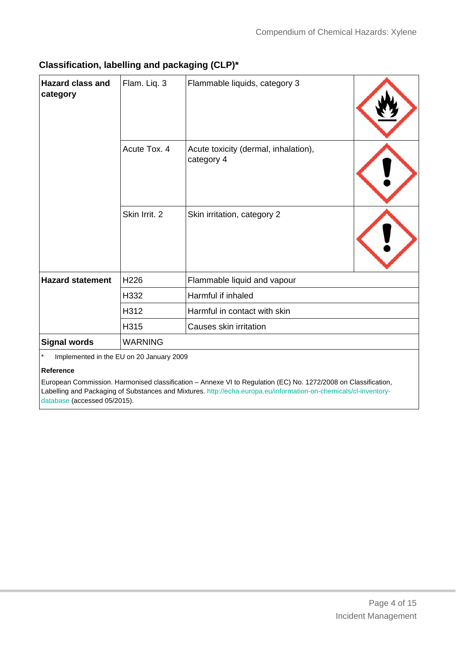| <b>Hazard class and</b><br>category                  | Flam. Liq. 3   | Flammable liquids, category 3                      |  |
|------------------------------------------------------|----------------|----------------------------------------------------|--|
|                                                      | Acute Tox. 4   | Acute toxicity (dermal, inhalation),<br>category 4 |  |
|                                                      | Skin Irrit. 2  | Skin irritation, category 2                        |  |
| <b>Hazard statement</b>                              | H226           | Flammable liquid and vapour                        |  |
|                                                      | H332           | Harmful if inhaled                                 |  |
|                                                      | H312           | Harmful in contact with skin                       |  |
|                                                      | H315           | Causes skin irritation                             |  |
| <b>Signal words</b>                                  | <b>WARNING</b> |                                                    |  |
| $\star$<br>Implemented in the ELL on 20 January 2009 |                |                                                    |  |

## **Classification, labelling and packaging (CLP)\***

Implemented in the EU on 20 January 2009

#### **Reference**

European Commission. Harmonised classification – Annexe VI to Regulation (EC) No. 1272/2008 on Classification, Labelling and Packaging of Substances and Mixtures. http://echa.europa.eu/information-on-chemicals/cl-inventorydatabase (accessed 05/2015).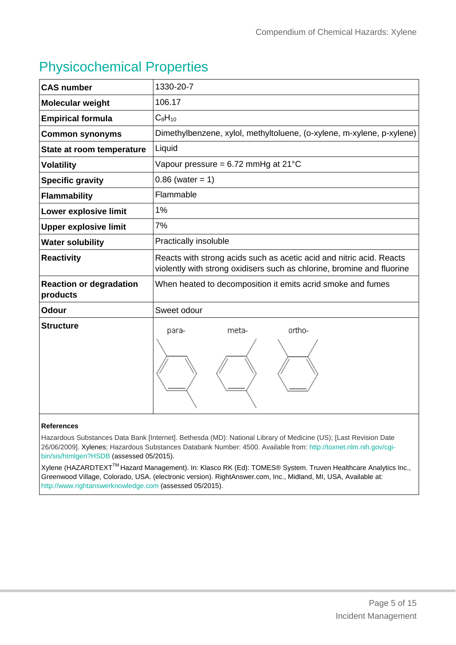# Physicochemical Properties

| <b>CAS number</b>                          | 1330-20-7                                                                                                                                      |
|--------------------------------------------|------------------------------------------------------------------------------------------------------------------------------------------------|
| Molecular weight                           | 106.17                                                                                                                                         |
| <b>Empirical formula</b>                   | $C_8H_{10}$                                                                                                                                    |
| <b>Common synonyms</b>                     | Dimethylbenzene, xylol, methyltoluene, (o-xylene, m-xylene, p-xylene)                                                                          |
| State at room temperature                  | Liquid                                                                                                                                         |
| <b>Volatility</b>                          | Vapour pressure = $6.72$ mmHg at $21^{\circ}$ C                                                                                                |
| <b>Specific gravity</b>                    | $0.86$ (water = 1)                                                                                                                             |
| <b>Flammability</b>                        | Flammable                                                                                                                                      |
| Lower explosive limit                      | 1%                                                                                                                                             |
| <b>Upper explosive limit</b>               | 7%                                                                                                                                             |
| <b>Water solubility</b>                    | Practically insoluble                                                                                                                          |
| <b>Reactivity</b>                          | Reacts with strong acids such as acetic acid and nitric acid. Reacts<br>violently with strong oxidisers such as chlorine, bromine and fluorine |
| <b>Reaction or degradation</b><br>products | When heated to decomposition it emits acrid smoke and fumes                                                                                    |
| <b>Odour</b>                               | Sweet odour                                                                                                                                    |
| <b>Structure</b>                           | ortho-<br>meta-<br>para-                                                                                                                       |

#### **References**

Hazardous Substances Data Bank [Internet]. Bethesda (MD): National Library of Medicine (US); [Last Revision Date 26/06/2009]. Xylenes; Hazardous Substances Databank Number: 4500. Available from: http://toxnet.nlm.nih.gov/cgibin/sis/htmlgen?HSDB (assessed 05/2015).

Xylene (HAZARDTEXT<sup>™</sup> Hazard Management). In: Klasco RK (Ed): TOMES® System. Truven Healthcare Analytics Inc., Greenwood Village, Colorado, USA. (electronic version). RightAnswer.com, Inc., Midland, MI, USA, Available at: http://www.rightanswerknowledge.com (assessed 05/2015).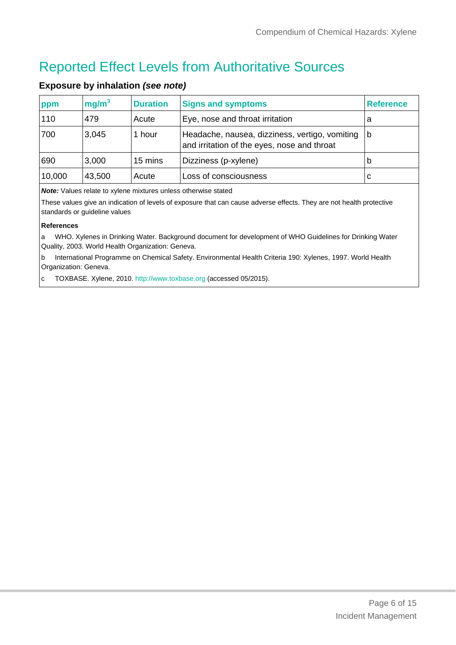# Reported Effect Levels from Authoritative Sources

| ppm    | mg/m <sup>3</sup> | <b>Duration</b> | <b>Signs and symptoms</b>                                                                     | <b>Reference</b> |
|--------|-------------------|-----------------|-----------------------------------------------------------------------------------------------|------------------|
| 110    | 479               | Acute           | Eye, nose and throat irritation                                                               | а                |
| 700    | 3,045             | 1 hour          | Headache, nausea, dizziness, vertigo, vomiting<br>and irritation of the eyes, nose and throat | 1b               |
| 690    | 3,000             | 15 mins         | Dizziness (p-xylene)                                                                          | b                |
| 10,000 | 43,500            | Acute           | Loss of consciousness                                                                         | C                |

### **Exposure by inhalation** *(see note)*

*Note:* Values relate to xylene mixtures unless otherwise stated

These values give an indication of levels of exposure that can cause adverse effects. They are not health protective standards or guideline values

#### **References**

a WHO. Xylenes in Drinking Water. Background document for development of WHO Guidelines for Drinking Water Quality, 2003. World Health Organization: Geneva.

b International Programme on Chemical Safety. Environmental Health Criteria 190: Xylenes, 1997. World Health Organization: Geneva.

c TOXBASE. Xylene, 2010. http://www.toxbase.org (accessed 05/2015).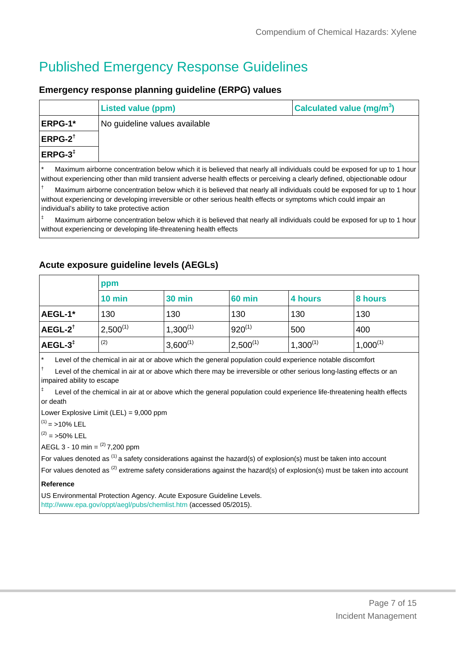# Published Emergency Response Guidelines

#### **Emergency response planning guideline (ERPG) values**

|                                                                                                                                                                                                                                                                    | <b>Listed value (ppm)</b>     | Calculated value (mg/m <sup>3</sup> ) |  |
|--------------------------------------------------------------------------------------------------------------------------------------------------------------------------------------------------------------------------------------------------------------------|-------------------------------|---------------------------------------|--|
| <b>ERPG-1*</b>                                                                                                                                                                                                                                                     | No guideline values available |                                       |  |
| $ $ ERPG-2 $^{\dagger}$                                                                                                                                                                                                                                            |                               |                                       |  |
| $ERPG-3^+$                                                                                                                                                                                                                                                         |                               |                                       |  |
| $\star$<br>Maximum airborne concentration below which it is believed that nearly all individuals could be exposed for up to 1 hour<br>l without experiencing other than mild transient adverse health effects or perceiving a clearly defined, obiectionable odour |                               |                                       |  |

† Maximum airborne concentration below which it is believed that nearly all individuals could be exposed for up to 1 hour without experiencing or developing irreversible or other serious health effects or symptoms which could impair an individual's ability to take protective action

Maximum airborne concentration below which it is believed that nearly all individuals could be exposed for up to 1 hour without experiencing or developing life-threatening health effects

### **Acute exposure guideline levels (AEGLs)**

|                       | ppm           |               |               |               |               |
|-----------------------|---------------|---------------|---------------|---------------|---------------|
|                       | $10$ min      | <b>30 min</b> | <b>60 min</b> | 4 hours       | 8 hours       |
| AEGL-1*               | 130           | 130           | 130           | 130           | 130           |
| $AEGL-2^{\dagger}$    | $2,500^{(1)}$ | $1,300^{(1)}$ | $920^{(1)}$   | 500           | 400           |
| $AEGL-3$ <sup>‡</sup> | (2)           | $3,600^{(1)}$ | $2,500^{(1)}$ | $1,300^{(1)}$ | $1,000^{(1)}$ |

Level of the chemical in air at or above which the general population could experience notable discomfort

† Level of the chemical in air at or above which there may be irreversible or other serious long-lasting effects or an impaired ability to escape

‡ Level of the chemical in air at or above which the general population could experience life-threatening health effects or death

Lower Explosive Limit (LEL) = 9,000 ppm

 $(1)$  = >10% LEL

 $(2) = 50\%$  LEL

AEGL 3 - 10 min =  $^{(2)}$  7,200 ppm

For values denoted as  $(1)$  a safety considerations against the hazard(s) of explosion(s) must be taken into account

For values denoted as <sup>(2)</sup> extreme safety considerations against the hazard(s) of explosion(s) must be taken into account

#### **Reference**

US Environmental Protection Agency. Acute Exposure Guideline Levels. http://www.epa.gov/oppt/aegl/pubs/chemlist.htm (accessed 05/2015).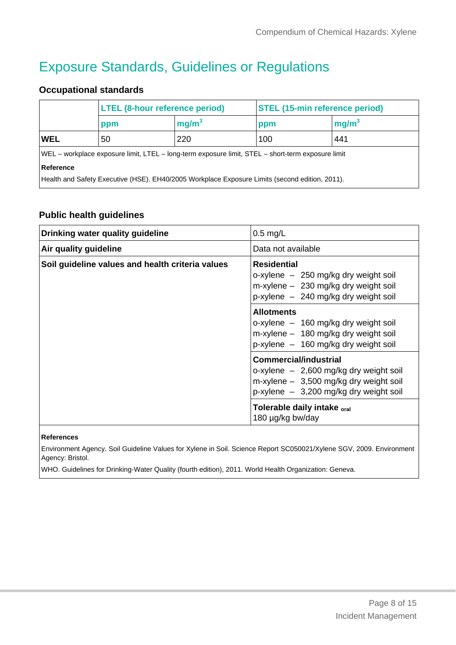# Exposure Standards, Guidelines or Regulations

## **Occupational standards**

|                                                                                                   | <b>LTEL (8-hour reference period)</b> |                   | <b>STEL (15-min reference period)</b> |                   |
|---------------------------------------------------------------------------------------------------|---------------------------------------|-------------------|---------------------------------------|-------------------|
|                                                                                                   | ppm                                   | mg/m <sup>3</sup> | ppm                                   | mg/m <sup>3</sup> |
| WEL                                                                                               | 50                                    | 220               | 100                                   | 441               |
| WEL – workplace exposure limit, LTEL – long-term exposure limit, STEL – short-term exposure limit |                                       |                   |                                       |                   |
| Reference                                                                                         |                                       |                   |                                       |                   |
| Health and Safety Executive (HSE). EH40/2005 Workplace Exposure Limits (second edition, 2011).    |                                       |                   |                                       |                   |

### **Public health guidelines**

| Drinking water quality guideline                 | $0.5$ mg/L                                                                                                                                                       |
|--------------------------------------------------|------------------------------------------------------------------------------------------------------------------------------------------------------------------|
| Air quality guideline                            | Data not available                                                                                                                                               |
| Soil guideline values and health criteria values | <b>Residential</b><br>o-xylene – 250 mg/kg dry weight soil<br>$m$ -xylene $-$ 230 mg/kg dry weight soil<br>$p$ -xylene $-240$ mg/kg dry weight soil              |
|                                                  | <b>Allotments</b><br>o-xylene - 160 mg/kg dry weight soil<br>$m$ -xylene $-$ 180 mg/kg dry weight soil<br>p-xylene - 160 mg/kg dry weight soil                   |
|                                                  | <b>Commercial/industrial</b><br>o-xylene $-2,600$ mg/kg dry weight soil<br>$m$ -xylene $-$ 3,500 mg/kg dry weight soil<br>p-xylene - 3,200 mg/kg dry weight soil |
|                                                  | Tolerable daily intake <sub>oral</sub><br>180 µg/kg bw/day                                                                                                       |

#### **References**

Environment Agency. Soil Guideline Values for Xylene in Soil. Science Report SC050021/Xylene SGV, 2009. Environment Agency: Bristol.

WHO. Guidelines for Drinking-Water Quality (fourth edition), 2011. World Health Organization: Geneva.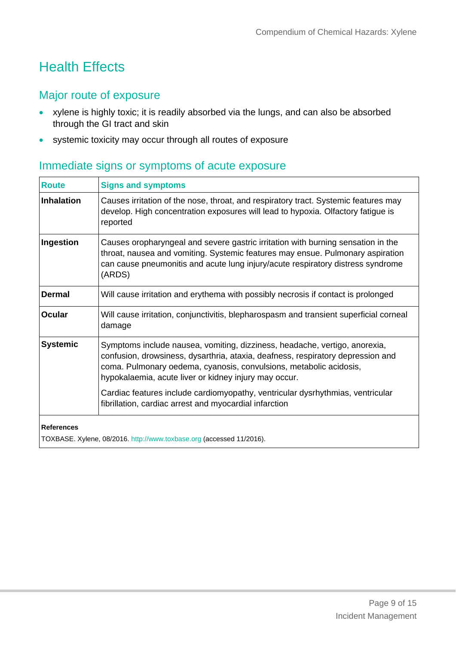# Health Effects

## Major route of exposure

- xylene is highly toxic; it is readily absorbed via the lungs, and can also be absorbed through the GI tract and skin
- systemic toxicity may occur through all routes of exposure

# Immediate signs or symptoms of acute exposure

| <b>Route</b>      | <b>Signs and symptoms</b>                                                                                                                                                                                                                                                                    |
|-------------------|----------------------------------------------------------------------------------------------------------------------------------------------------------------------------------------------------------------------------------------------------------------------------------------------|
| Inhalation        | Causes irritation of the nose, throat, and respiratory tract. Systemic features may<br>develop. High concentration exposures will lead to hypoxia. Olfactory fatigue is<br>reported                                                                                                          |
| Ingestion         | Causes oropharyngeal and severe gastric irritation with burning sensation in the<br>throat, nausea and vomiting. Systemic features may ensue. Pulmonary aspiration<br>can cause pneumonitis and acute lung injury/acute respiratory distress syndrome<br>(ARDS)                              |
| <b>Dermal</b>     | Will cause irritation and erythema with possibly necrosis if contact is prolonged                                                                                                                                                                                                            |
| <b>Ocular</b>     | Will cause irritation, conjunctivitis, blepharospasm and transient superficial corneal<br>damage                                                                                                                                                                                             |
| <b>Systemic</b>   | Symptoms include nausea, vomiting, dizziness, headache, vertigo, anorexia,<br>confusion, drowsiness, dysarthria, ataxia, deafness, respiratory depression and<br>coma. Pulmonary oedema, cyanosis, convulsions, metabolic acidosis,<br>hypokalaemia, acute liver or kidney injury may occur. |
|                   | Cardiac features include cardiomyopathy, ventricular dysrhythmias, ventricular<br>fibrillation, cardiac arrest and myocardial infarction                                                                                                                                                     |
| <b>References</b> |                                                                                                                                                                                                                                                                                              |

TOXBASE. Xylene, 08/2016. http://www.toxbase.org (accessed 11/2016).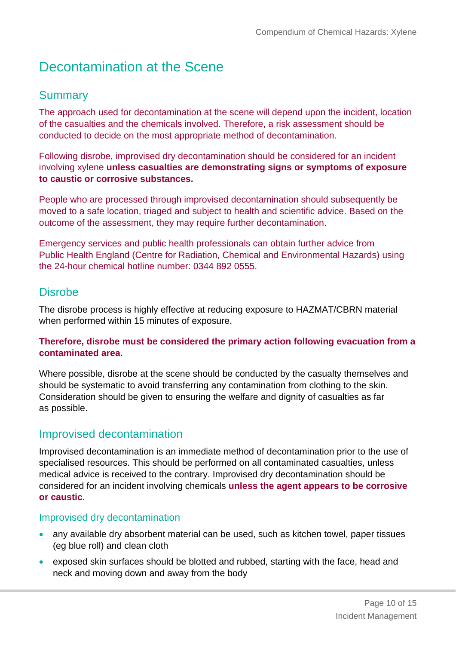# Decontamination at the Scene

## **Summary**

The approach used for decontamination at the scene will depend upon the incident, location of the casualties and the chemicals involved. Therefore, a risk assessment should be conducted to decide on the most appropriate method of decontamination.

Following disrobe, improvised dry decontamination should be considered for an incident involving xylene **unless casualties are demonstrating signs or symptoms of exposure to caustic or corrosive substances.**

People who are processed through improvised decontamination should subsequently be moved to a safe location, triaged and subject to health and scientific advice. Based on the outcome of the assessment, they may require further decontamination.

Emergency services and public health professionals can obtain further advice from Public Health England (Centre for Radiation, Chemical and Environmental Hazards) using the 24-hour chemical hotline number: 0344 892 0555.

## **Disrobe**

The disrobe process is highly effective at reducing exposure to HAZMAT/CBRN material when performed within 15 minutes of exposure.

### **Therefore, disrobe must be considered the primary action following evacuation from a contaminated area.**

Where possible, disrobe at the scene should be conducted by the casualty themselves and should be systematic to avoid transferring any contamination from clothing to the skin. Consideration should be given to ensuring the welfare and dignity of casualties as far as possible.

## Improvised decontamination

Improvised decontamination is an immediate method of decontamination prior to the use of specialised resources. This should be performed on all contaminated casualties, unless medical advice is received to the contrary. Improvised dry decontamination should be considered for an incident involving chemicals **unless the agent appears to be corrosive or caustic**.

## Improvised dry decontamination

- any available dry absorbent material can be used, such as kitchen towel, paper tissues (eg blue roll) and clean cloth
- exposed skin surfaces should be blotted and rubbed, starting with the face, head and neck and moving down and away from the body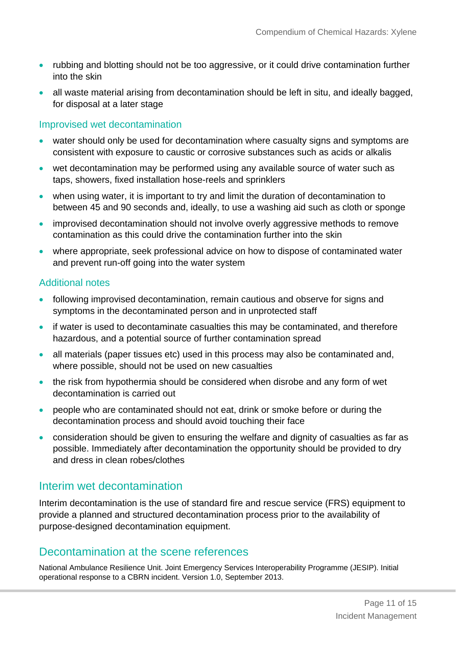- rubbing and blotting should not be too aggressive, or it could drive contamination further into the skin
- all waste material arising from decontamination should be left in situ, and ideally bagged, for disposal at a later stage

## Improvised wet decontamination

- water should only be used for decontamination where casualty signs and symptoms are consistent with exposure to caustic or corrosive substances such as acids or alkalis
- wet decontamination may be performed using any available source of water such as taps, showers, fixed installation hose-reels and sprinklers
- when using water, it is important to try and limit the duration of decontamination to between 45 and 90 seconds and, ideally, to use a washing aid such as cloth or sponge
- improvised decontamination should not involve overly aggressive methods to remove contamination as this could drive the contamination further into the skin
- where appropriate, seek professional advice on how to dispose of contaminated water and prevent run-off going into the water system

### Additional notes

- following improvised decontamination, remain cautious and observe for signs and symptoms in the decontaminated person and in unprotected staff
- if water is used to decontaminate casualties this may be contaminated, and therefore hazardous, and a potential source of further contamination spread
- all materials (paper tissues etc) used in this process may also be contaminated and, where possible, should not be used on new casualties
- the risk from hypothermia should be considered when disrobe and any form of wet decontamination is carried out
- people who are contaminated should not eat, drink or smoke before or during the decontamination process and should avoid touching their face
- consideration should be given to ensuring the welfare and dignity of casualties as far as possible. Immediately after decontamination the opportunity should be provided to dry and dress in clean robes/clothes

## Interim wet decontamination

Interim decontamination is the use of standard fire and rescue service (FRS) equipment to provide a planned and structured decontamination process prior to the availability of purpose-designed decontamination equipment.

## Decontamination at the scene references

National Ambulance Resilience Unit. Joint Emergency Services Interoperability Programme (JESIP). Initial operational response to a CBRN incident. Version 1.0, September 2013.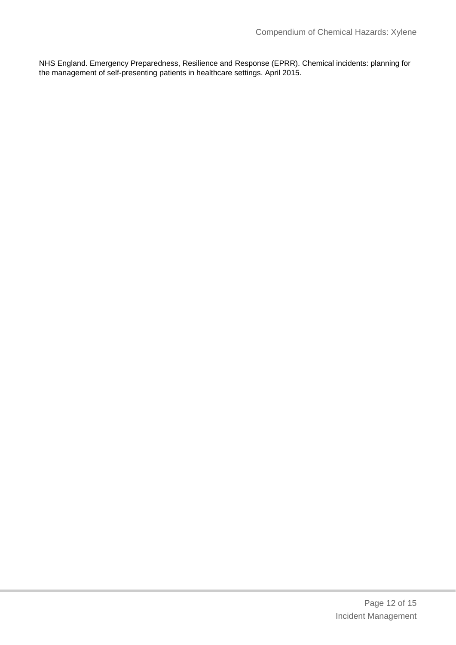NHS England. Emergency Preparedness, Resilience and Response (EPRR). Chemical incidents: planning for the management of self-presenting patients in healthcare settings. April 2015.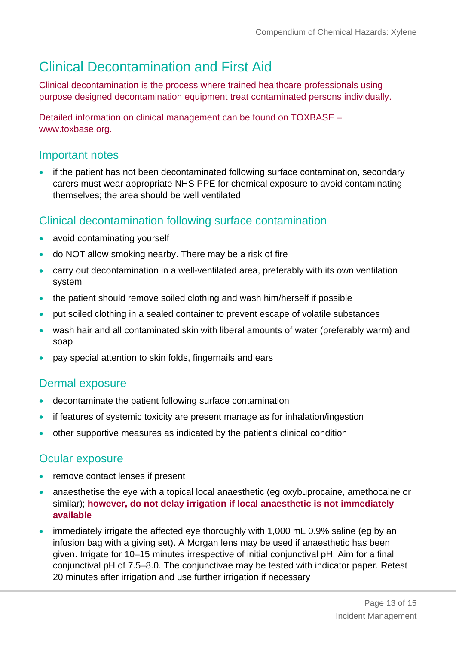# Clinical Decontamination and First Aid

Clinical decontamination is the process where trained healthcare professionals using purpose designed decontamination equipment treat contaminated persons individually.

Detailed information on clinical management can be found on TOXBASE – www.toxbase.org.

# Important notes

 if the patient has not been decontaminated following surface contamination, secondary carers must wear appropriate NHS PPE for chemical exposure to avoid contaminating themselves; the area should be well ventilated

# Clinical decontamination following surface contamination

- avoid contaminating yourself
- do NOT allow smoking nearby. There may be a risk of fire
- carry out decontamination in a well-ventilated area, preferably with its own ventilation system
- the patient should remove soiled clothing and wash him/herself if possible
- put soiled clothing in a sealed container to prevent escape of volatile substances
- wash hair and all contaminated skin with liberal amounts of water (preferably warm) and soap
- pay special attention to skin folds, fingernails and ears

# Dermal exposure

- decontaminate the patient following surface contamination
- if features of systemic toxicity are present manage as for inhalation/ingestion
- other supportive measures as indicated by the patient's clinical condition

## Ocular exposure

- remove contact lenses if present
- anaesthetise the eye with a topical local anaesthetic (eg oxybuprocaine, amethocaine or similar); **however, do not delay irrigation if local anaesthetic is not immediately available**
- immediately irrigate the affected eye thoroughly with 1,000 mL 0.9% saline (eg by an infusion bag with a giving set). A Morgan lens may be used if anaesthetic has been given. Irrigate for 10–15 minutes irrespective of initial conjunctival pH. Aim for a final conjunctival pH of 7.5–8.0. The conjunctivae may be tested with indicator paper. Retest 20 minutes after irrigation and use further irrigation if necessary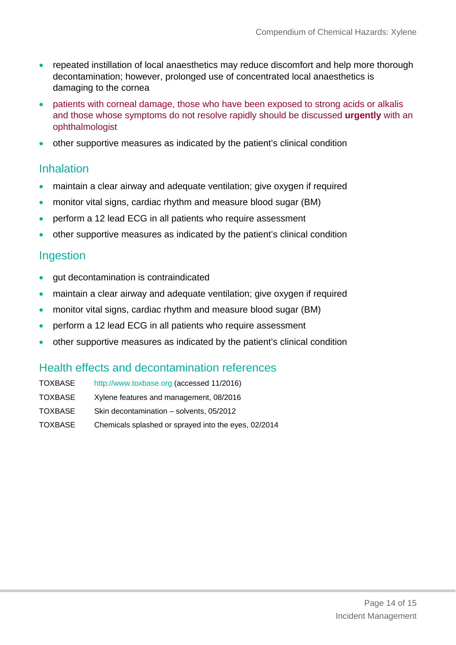- repeated instillation of local anaesthetics may reduce discomfort and help more thorough decontamination; however, prolonged use of concentrated local anaesthetics is damaging to the cornea
- patients with corneal damage, those who have been exposed to strong acids or alkalis and those whose symptoms do not resolve rapidly should be discussed **urgently** with an ophthalmologist
- other supportive measures as indicated by the patient's clinical condition

## **Inhalation**

- maintain a clear airway and adequate ventilation; give oxygen if required
- monitor vital signs, cardiac rhythm and measure blood sugar (BM)
- perform a 12 lead ECG in all patients who require assessment
- other supportive measures as indicated by the patient's clinical condition

## Ingestion

- gut decontamination is contraindicated
- maintain a clear airway and adequate ventilation; give oxygen if required
- monitor vital signs, cardiac rhythm and measure blood sugar (BM)
- perform a 12 lead ECG in all patients who require assessment
- other supportive measures as indicated by the patient's clinical condition

## Health effects and decontamination references

| TOXBASE        | http://www.toxbase.org (accessed 11/2016)            |
|----------------|------------------------------------------------------|
| TOXBASE        | Xylene features and management, 08/2016              |
| <b>TOXBASE</b> | Skin decontamination - solvents, 05/2012             |
| TOXBASE        | Chemicals splashed or sprayed into the eyes, 02/2014 |